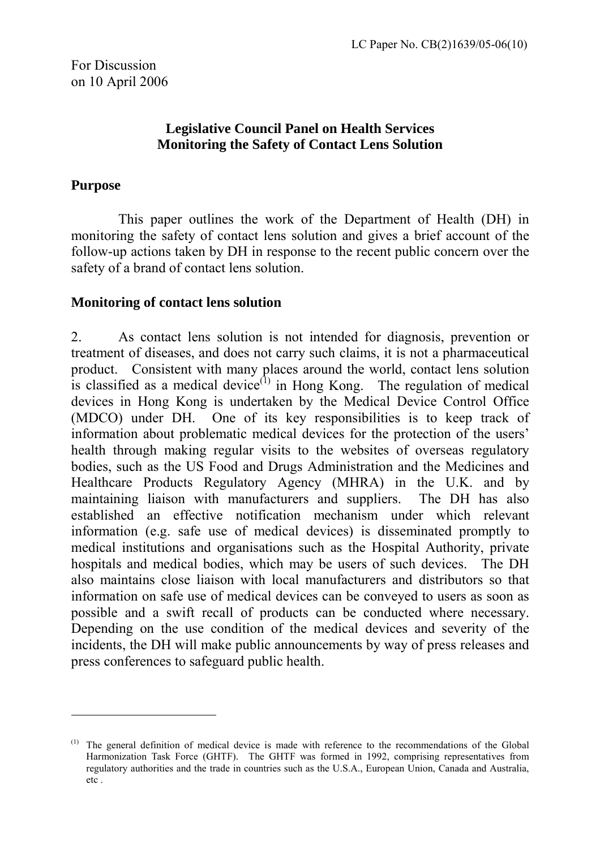#### **Legislative Council Panel on Health Services Monitoring the Safety of Contact Lens Solution**

### **Purpose**

 $\overline{a}$ 

 This paper outlines the work of the Department of Health (DH) in monitoring the safety of contact lens solution and gives a brief account of the follow-up actions taken by DH in response to the recent public concern over the safety of a brand of contact lens solution.

#### **Monitoring of contact lens solution**

2. As contact lens solution is not intended for diagnosis, prevention or treatment of diseases, and does not carry such claims, it is not a pharmaceutical product. Consistent with many places around the world, contact lens solution is classified as a medical device<sup> $(1)$ </sup> in Hong Kong. The regulation of medical devices in Hong Kong is undertaken by the Medical Device Control Office (MDCO) under DH. One of its key responsibilities is to keep track of information about problematic medical devices for the protection of the users' health through making regular visits to the websites of overseas regulatory bodies, such as the US Food and Drugs Administration and the Medicines and Healthcare Products Regulatory Agency (MHRA) in the U.K. and by maintaining liaison with manufacturers and suppliers. The DH has also established an effective notification mechanism under which relevant information (e.g. safe use of medical devices) is disseminated promptly to medical institutions and organisations such as the Hospital Authority, private hospitals and medical bodies, which may be users of such devices. The DH also maintains close liaison with local manufacturers and distributors so that information on safe use of medical devices can be conveyed to users as soon as possible and a swift recall of products can be conducted where necessary. Depending on the use condition of the medical devices and severity of the incidents, the DH will make public announcements by way of press releases and press conferences to safeguard public health.

<span id="page-0-0"></span> $<sup>(1)</sup>$  The general definition of medical device is made with reference to the recommendations of the Global</sup> Harmonization Task Force (GHTF). The GHTF was formed in 1992, comprising representatives from regulatory authorities and the trade in countries such as the U.S.A., European Union, Canada and Australia, etc .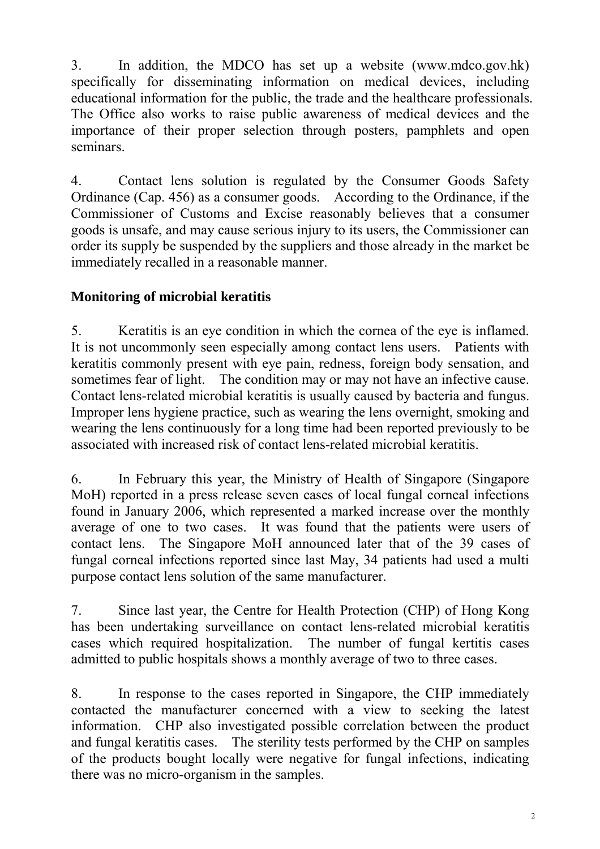3. In addition, the MDCO has set up a website (www.mdco.gov.hk) specifically for disseminating information on medical devices, including educational information for the public, the trade and the healthcare professionals. The Office also works to raise public awareness of medical devices and the importance of their proper selection through posters, pamphlets and open seminars.

4. Contact lens solution is regulated by the Consumer Goods Safety Ordinance (Cap. 456) as a consumer goods. According to the Ordinance, if the Commissioner of Customs and Excise reasonably believes that a consumer goods is unsafe, and may cause serious injury to its users, the Commissioner can order its supply be suspended by the suppliers and those already in the market be immediately recalled in a reasonable manner.

## **Monitoring of microbial keratitis**

5. Keratitis is an eye condition in which the cornea of the eye is inflamed. It is not uncommonly seen especially among contact lens users. Patients with keratitis commonly present with eye pain, redness, foreign body sensation, and sometimes fear of light. The condition may or may not have an infective cause. Contact lens-related microbial keratitis is usually caused by bacteria and fungus. Improper lens hygiene practice, such as wearing the lens overnight, smoking and wearing the lens continuously for a long time had been reported previously to be associated with increased risk of contact lens-related microbial keratitis.

6. In February this year, the Ministry of Health of Singapore (Singapore MoH) reported in a press release seven cases of local fungal corneal infections found in January 2006, which represented a marked increase over the monthly average of one to two cases. It was found that the patients were users of contact lens. The Singapore MoH announced later that of the 39 cases of fungal corneal infections reported since last May, 34 patients had used a multi purpose contact lens solution of the same manufacturer.

7. Since last year, the Centre for Health Protection (CHP) of Hong Kong has been undertaking surveillance on contact lens-related microbial keratitis cases which required hospitalization. The number of fungal kertitis cases admitted to public hospitals shows a monthly average of two to three cases.

8. In response to the cases reported in Singapore, the CHP immediately contacted the manufacturer concerned with a view to seeking the latest information. CHP also investigated possible correlation between the product and fungal keratitis cases. The sterility tests performed by the CHP on samples of the products bought locally were negative for fungal infections, indicating there was no micro-organism in the samples.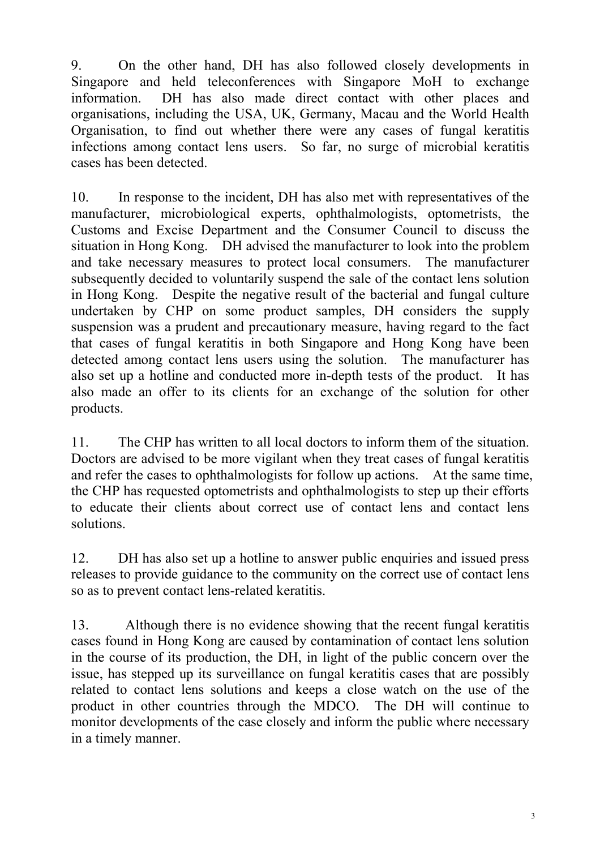9. On the other hand, DH has also followed closely developments in Singapore and held teleconferences with Singapore MoH to exchange information. DH has also made direct contact with other places and organisations, including the USA, UK, Germany, Macau and the World Health Organisation, to find out whether there were any cases of fungal keratitis infections among contact lens users. So far, no surge of microbial keratitis cases has been detected.

10. In response to the incident, DH has also met with representatives of the manufacturer, microbiological experts, ophthalmologists, optometrists, the Customs and Excise Department and the Consumer Council to discuss the situation in Hong Kong. DH advised the manufacturer to look into the problem and take necessary measures to protect local consumers. The manufacturer subsequently decided to voluntarily suspend the sale of the contact lens solution in Hong Kong. Despite the negative result of the bacterial and fungal culture undertaken by CHP on some product samples, DH considers the supply suspension was a prudent and precautionary measure, having regard to the fact that cases of fungal keratitis in both Singapore and Hong Kong have been detected among contact lens users using the solution. The manufacturer has also set up a hotline and conducted more in-depth tests of the product. It has also made an offer to its clients for an exchange of the solution for other products.

11. The CHP has written to all local doctors to inform them of the situation. Doctors are advised to be more vigilant when they treat cases of fungal keratitis and refer the cases to ophthalmologists for follow up actions. At the same time, the CHP has requested optometrists and ophthalmologists to step up their efforts to educate their clients about correct use of contact lens and contact lens solutions.

12. DH has also set up a hotline to answer public enquiries and issued press releases to provide guidance to the community on the correct use of contact lens so as to prevent contact lens-related keratitis.

13. Although there is no evidence showing that the recent fungal keratitis cases found in Hong Kong are caused by contamination of contact lens solution in the course of its production, the DH, in light of the public concern over the issue, has stepped up its surveillance on fungal keratitis cases that are possibly related to contact lens solutions and keeps a close watch on the use of the product in other countries through the MDCO. The DH will continue to monitor developments of the case closely and inform the public where necessary in a timely manner.